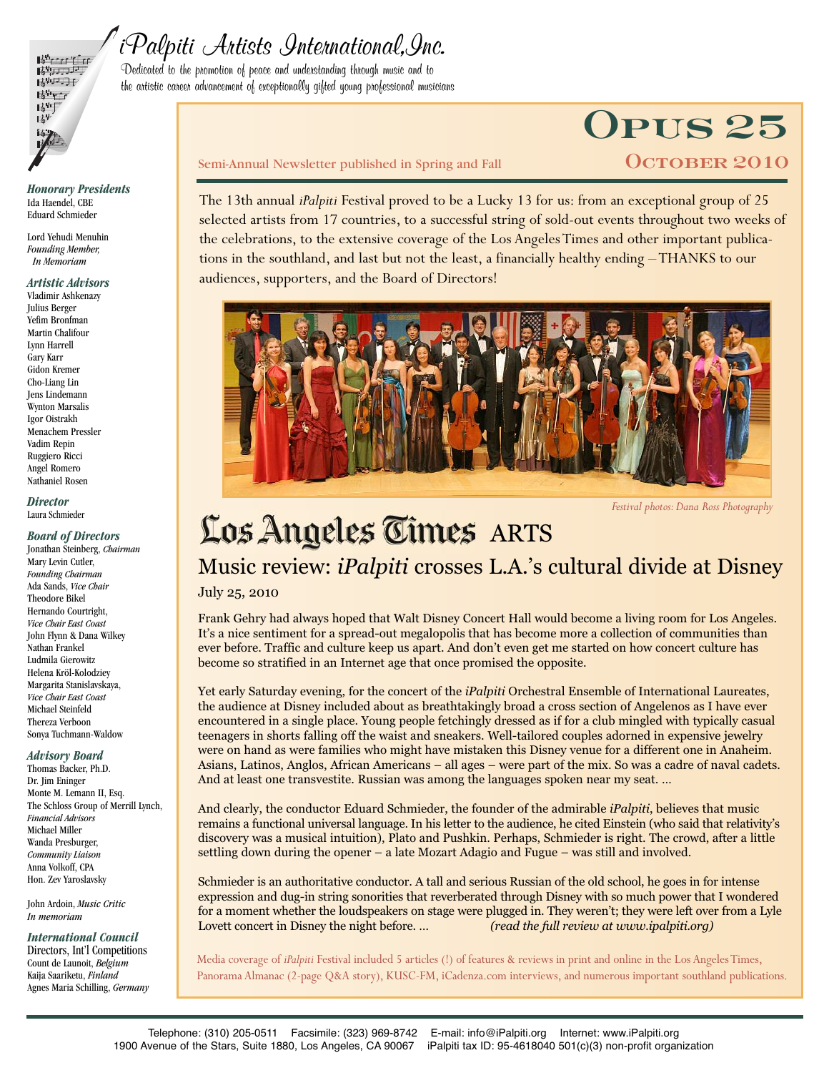

# iPalpiti Artists International,Inc.

Dedicated to the promotion of peace and understanding through music and to the artistic career advancement of exceptionally gifted young professional musicians

# **Opus 25**

#### Semi-Annual Newsletter published in Spring and Fall **COLOBER 2010**

The 13th annual *iPalpiti* Festival proved to be a Lucky 13 for us: from an exceptional group of 25 selected artists from 17 countries, to a successful string of sold-out events throughout two weeks of the celebrations, to the extensive coverage of the Los Angeles Times and other important publications in the southland, and last but not the least, a financially healthy ending –THANKS to our audiences, supporters, and the Board of Directors!



*Festival photos:Dana Ross Photography*

# Los Angeles Times ARTS

Music review: *iPalpiti* crosses L.A.'s cultural divide at Disney

#### July 25, 2010

Frank Gehry had always hoped that Walt Disney Concert Hall would become a living room for Los Angeles. It's a nice sentiment for a spread-out megalopolis that has become more a collection of communities than ever before. Traffic and culture keep us apart. And don't even get me started on how concert culture has become so stratified in an Internet age that once promised the opposite.

Yet early Saturday evening, for the concert of the *iPalpiti* Orchestral Ensemble of International Laureates, the audience at Disney included about as breathtakingly broad a cross section of Angelenos as I have ever encountered in a single place. Young people fetchingly dressed as if for a club mingled with typically casual teenagers in shorts falling off the waist and sneakers. Well-tailored couples adorned in expensive jewelry were on hand as were families who might have mistaken this Disney venue for a different one in Anaheim. Asians, Latinos, Anglos, African Americans – all ages – were part of the mix. So was a cadre of naval cadets. And at least one transvestite. Russian was among the languages spoken near my seat. …

And clearly, the conductor Eduard Schmieder, the founder of the admirable *iPalpiti*, believes that music remains a functional universal language. In his letter to the audience, he cited Einstein (who said that relativity's discovery was a musical intuition), Plato and Pushkin. Perhaps, Schmieder is right. The crowd, after a little settling down during the opener – a late Mozart Adagio and Fugue – was still and involved.

Schmieder is an authoritative conductor. A tall and serious Russian of the old school, he goes in for intense expression and dug-in string sonorities that reverberated through Disney with so much power that I wondered for a moment whether the loudspeakers on stage were plugged in. They weren't; they were left over from a Lyle Lovett concert in Disney the night before. … *(read the full review at www.ipalpiti.org)*

Media coverage of *iPalpiti* Festival included 5 articles (!) of features & reviews in print and online in the Los AngelesTimes, Panorama Almanac (2-page Q&A story), KUSC-FM, iCadenza.com interviews, and numerous important southland publications.

*Honorary Presidents* Ida Haendel, CBE Eduard Schmieder

Lord Yehudi Menuhin *Founding Member, In Memoriam*

#### *Artistic Advisors*

Vladimir Ashkenazy Julius Berger Yefim Bronfman Martin Chalifour Lynn Harrell Gary Karr Gidon Kremer Cho-Liang Lin Jens Lindemann Wynton Marsalis Igor Oistrakh Menachem Pressler Vadim Repin Ruggiero Ricci Angel Romero Nathaniel Rosen

*Director* Laura Schmieder

#### *Board of Directors*

Jonathan Steinberg, *Chairman* Mary Levin Cutler, *Founding Chairman* Ada Sands, *Vice Chair* Theodore Bikel Hernando Courtright, *Vice Chair East Coast* John Flynn & Dana Wilkey Nathan Frankel Ludmila Gierowitz Helena Kröl-Kolodziey Margarita Stanislavskaya, *Vice Chair East Coast* Michael Steinfeld Thereza Verboon Sonya Tuchmann-Waldow

#### *Advisory Board*

Thomas Backer, Ph.D. Dr. Jim Eninger Monte M. Lemann II, Esq. The Schloss Group of Merrill Lynch, *Financial Advisors* Michael Miller Wanda Presburger, *Community Liaison* Anna Volkoff, CPA Hon. Zev Yaroslavsky

John Ardoin, *Music Critic In memoriam*

*International Council* Directors, Int'l Competitions Count de Launoit, *Belgium* Kaija Saariketu, *Finland* Agnes Maria Schilling, *Germany*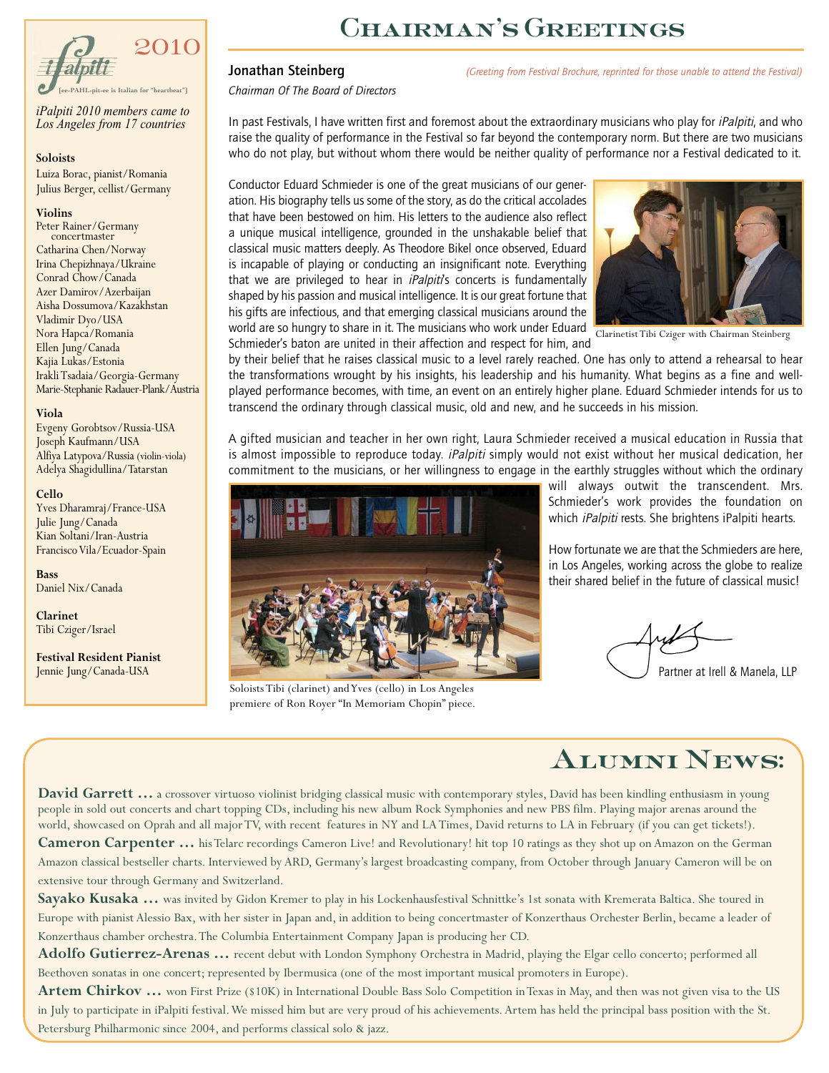

*iPalpiti 2010 members came to Los Angeles from 17 countries*

#### **Soloists**

Luiza Borac, pianist/Romania Julius Berger, cellist/Germany

#### **Violins**

Peter Rainer/Germany concertmaster Catharina Chen/Norway Irina Chepizhnaya/Ukraine Conrad Chow/Canada Azer Damirov/Azerbaijan Aisha Dossumova/Kazakhstan Vladimir Dyo/USA Nora Hapca/Romania Ellen Jung/Canada Kajia Lukas/Estonia IrakliTsadaia/Georgia-Germany Marie-Stephanie Radauer-Plank/Austria

#### **Viola**

Evgeny Gorobtsov/Russia-USA Joseph Kaufmann/USA Alfiya Latypova/Russia (violin-viola) Adelya Shagidullina/Tatarstan

#### **Cello**

Yves Dharamraj/France-USA Julie Jung/Canada Kian Soltani/Iran-Austria Francisco Vila/Ecuador-Spain

**Bass** Daniel Nix/Canada

**Clarinet** Tibi Cziger/Israel

**Festival Resident Pianist** Jennie Jung/Canada-USA

# **Chairman's Greetings**

Jonathan Steinberg *(Greeting from Festival Brochure, reprinted for those unable to attend the Festival)*

*Chairman Of The Board of Directors*

In past Festivals, I have written first and foremost about the extraordinary musicians who play for *iPalpiti*, and who raise the quality of performance in the Festival so far beyond the contemporary norm. But there are two musicians who do not play, but without whom there would be neither quality of performance nor a Festival dedicated to it.

Conductor Eduard Schmieder is one of the great musicians of our generation. His biography tells us some of the story, as do the critical accolades that have been bestowed on him. His letters to the audience also reflect a unique musical intelligence, grounded in the unshakable belief that classical music matters deeply. As Theodore Bikel once observed, Eduard is incapable of playing or conducting an insignificant note. Everything that we are privileged to hear in *iPalpiti's* concerts is fundamentally shaped by his passion and musical intelligence. It is our great fortune that his gifts are infectious, and that emerging classical musicians around the world are so hungry to share in it. The musicians who work under Eduard wond are so hungly to share in it. The musicians who work under Eduard Clarinetist Tibi Cziger with Chairman Steinberg<br>Schmieder's baton are united in their affection and respect for him. and



by their belief that he raises classical music to a level rarely reached. One has only to attend a rehearsal to hear the transformations wrought by his insights, his leadership and his humanity. What begins as a fine and wellplayed performance becomes, with time, an event on an entirely higher plane. Eduard Schmieder intends for us to transcend the ordinary through classical music, old and new, and he succeeds in his mission.

A gifted musician and teacher in her own right, Laura Schmieder received a musical education in Russia that is almost impossible to reproduce today. *iPalpiti* simply would not exist without her musical dedication, her commitment to the musicians, or her willingness to engage in the earthly struggles without which the ordinary



Soloists Tibi (clarinet) andYves (cello) in Los Angeles premiere of Ron Royer "In Memoriam Chopin" piece.

will always outwit the transcendent. Mrs. Schmieder's work provides the foundation on which *iPalpiti* rests. She brightens iPalpiti hearts.

How fortunate we are that the Schmieders are here, in Los Angeles, working across the globe to realize their shared belief in the future of classical music!

Partner at Irell & Manela, LLP

**Alumni News:**

David Garrett ... a crossover virtuoso violinist bridging classical music with contemporary styles, David has been kindling enthusiasm in young people in sold out concerts and chart topping CDs, including his new album Rock Symphonies and new PBS film. Playing major arenas around the world, showcased on Oprah and all majorTV, with recent features in NY and LATimes, David returns to LA in February (if you can get tickets!).

**Cameron Carpenter …** hisTelarc recordings Cameron Live! and Revolutionary! hit top 10 ratings as they shot up on Amazon on the German Amazon classical bestseller charts. Interviewed by ARD, Germany's largest broadcasting company, from October through January Cameron will be on extensive tour through Germany and Switzerland.

Sayako Kusaka ... was invited by Gidon Kremer to play in his Lockenhausfestival Schnittke's 1st sonata with Kremerata Baltica. She toured in Europe with pianist Alessio Bax, with her sister in Japan and, in addition to being concertmaster of Konzerthaus Orchester Berlin, became a leader of Konzerthaus chamber orchestra.The Columbia Entertainment Company Japan is producing her CD.

**Adolfo Gutierrez-Arenas …** recent debut with London Symphony Orchestra in Madrid, playing the Elgar cello concerto; performed all Beethoven sonatas in one concert; represented by Ibermusica (one of the most important musical promoters in Europe).

**Artem Chirkov ...** won First Prize (\$10K) in International Double Bass Solo Competition in Texas in May, and then was not given visa to the US in July to participate in iPalpiti festival.We missed him but are very proud of his achievements.Artem has held the principal bass position with the St. Petersburg Philharmonic since 2004, and performs classical solo & jazz.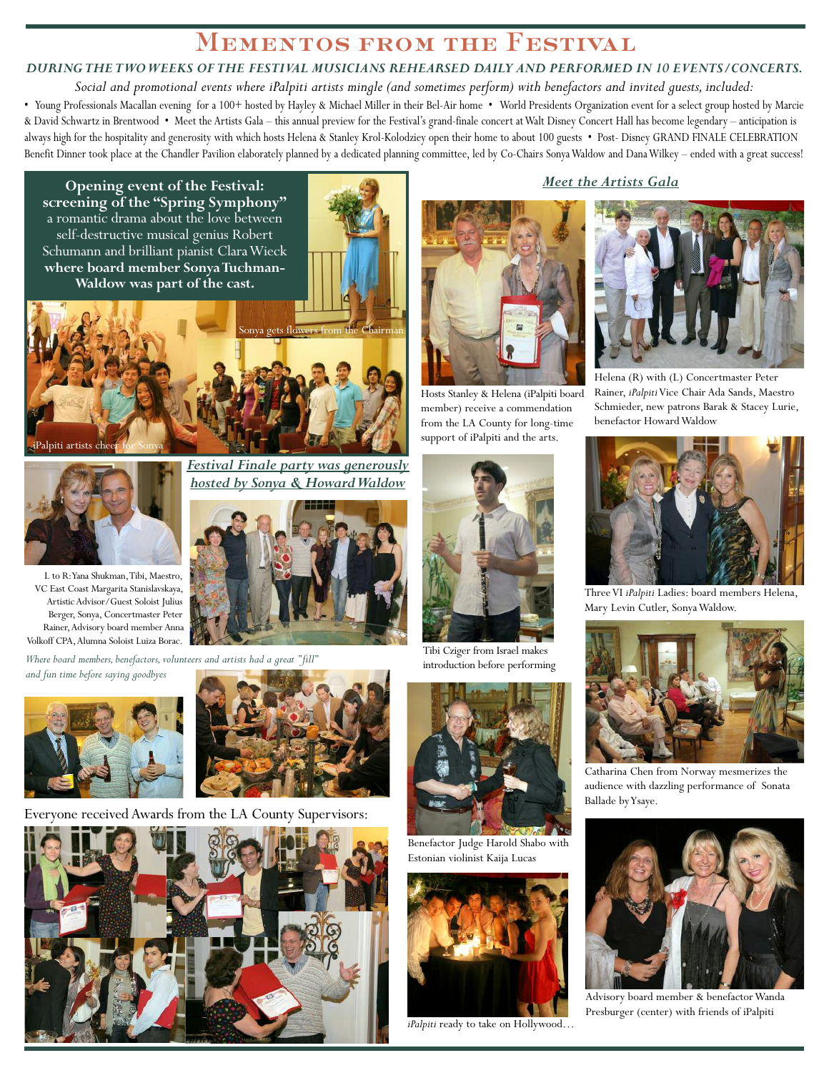# **Mementos from the Festival**

### *DURINGTHETWOWEEKS OFTHE FESTIVAL MUSICIANS REHEARSED DAILY AND PERFORMED IN 10 EVENTS/CONCERTS.*

Social and promotional events where iPalpiti artists mingle (and sometimes perform) with benefactors and invited guests, included: • Young Professionals Macallan evening for a 100+ hosted by Hayley & Michael Miller in their Bel-Air home • World Presidents Organization event for a select group hosted by Marcie & David Schwartz in Brentwood • Meet the Artists Gala – this annual preview for the Festival's grand-finale concert atWalt Disney Concert Hall has become legendary – anticipation is always high for the hospitality and generosity with which hosts Helena & Stanley Krol-Kolodziey open their home to about 100 guests • Post- Disney GRAND FINALE CELEBRATION Benefit Dinner took place at the Chandler Pavilion elaborately planned by a dedicated planning committee, led by Co-Chairs Sonya Waldow and Dana Wilkey – ended with a great success!

**Opening event of the Festival: screening of the "Spring Symphony"** a romantic drama about the love between self-destructive musical genius Robert Schumann and brilliant pianist ClaraWieck **where board member SonyaTuchman-Waldow was part of the cast.**







L to R:Yana Shukman,Tibi, Maestro, VC East Coast Margarita Stanislavskaya, ArtisticAdvisor/Guest Soloist Julius Berger, Sonya, Concertmaster Peter Rainer,Advisory board memberAnna Volkoff CPA,Alumna Soloist Luiza Borac.

*Where board members, benefactors, volunteers and artists had a great "fill" and fun time before saying goodbyes*





Everyone received Awards from the LA County Supervisors:





Hosts Stanley & Helena (iPalpiti board member) receive a commendation from the LA County for long-time support of iPalpiti and the arts.

Tibi Cziger from Israel makes introduction before performing



Benefactor Judge Harold Shabo with Estonian violinist Kaija Lucas



*iPalpiti* ready to take on Hollywood…

### *Meet the Artists Gala*



Helena (R) with (L) Concertmaster Peter Rainer, *iPalpiti*Vice Chair Ada Sands, Maestro Schmieder, new patrons Barak & Stacey Lurie, benefactor Howard Waldow



ThreeVI *iPalpiti* Ladies: board members Helena, Mary Levin Cutler, SonyaWaldow.



Catharina Chen from Norway mesmerizes the audience with dazzling performance of Sonata Ballade byYsaye.



Advisory board member & benefactorWanda Presburger (center) with friends of iPalpiti

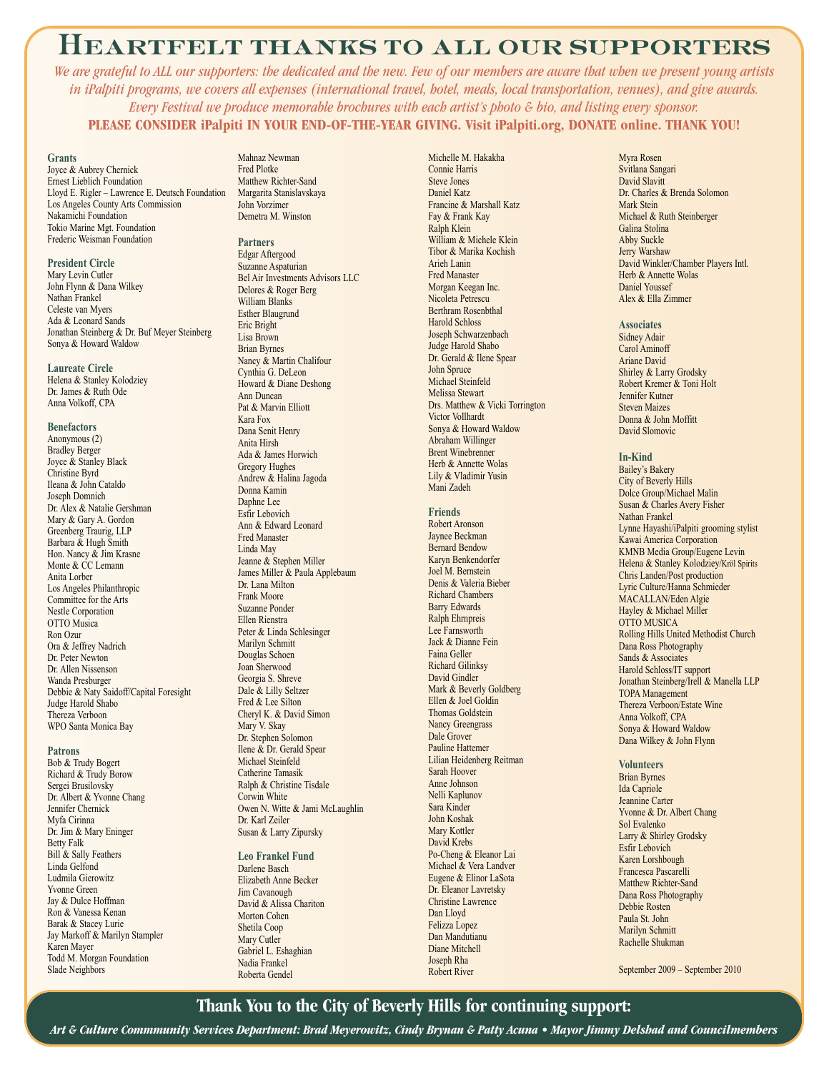# **Heartfelt thanks to all our supporters**

We are grateful to ALL our supporters: the dedicated and the new. Few of our members are aware that when we present young artists in iPalpiti programs, we covers all expenses (international travel, botel, meals, local transportation, venues), and give awards. *Every Festival we produce memorable brochures with each artist's photo & bio, and listing every sponsor.* **PLEASE CONSIDER iPalpiti IN YOUR END-OF-THE-YEAR GIVING. Visit iPalpiti.org, DONATE online. THANK YOU!**

#### **Grants**

Joyce & Aubrey Chernick Ernest Lieblich Foundation Lloyd E. Rigler – Lawrence E. Deutsch Foundation Los Angeles County Arts Commission Nakamichi Foundation Tokio Marine Mgt. Foundation Frederic Weisman Foundation

#### **President Circle**

Mary Levin Cutler John Flynn & Dana Wilkey Nathan Frankel Celeste van Myers Ada & Leonard Sands Jonathan Steinberg & Dr. Buf Meyer Steinberg Sonya & Howard Waldow

**Laureate Circle** Helena & Stanley Kolodziey Dr. James & Ruth Ode Anna Volkoff, CPA

#### **Benefactors**

Anonymous (2) Bradley Berger Joyce & Stanley Black Christine Byrd Ileana & John Cataldo Joseph Domnich Dr. Alex & Natalie Gershman Mary & Gary A. Gordon Greenberg Traurig, LLP Barbara & Hugh Smith Hon. Nancy & Jim Krasne Monte & CC Lemann Anita Lorber Los Angeles Philanthropic Committee for the Arts Nestle Corporation OTTO Musica Ron Ozur Ora & Jeffrey Nadrich Dr. Peter Newton Dr. Allen Nissenson Wanda Presburger Debbie & Naty Saidoff/Capital Foresight Judge Harold Shabo Thereza Verboon WPO Santa Monica Bay

#### **Patrons**

Bob & Trudy Bogert Richard & Trudy Borow Sergei Brusilovsky Dr. Albert & Yvonne Chang Jennifer Chernick Myfa Cirinna Dr. Jim & Mary Eninger Betty Falk Bill & Sally Feathers Linda Gelfond Ludmila Gierowitz Yvonne Green Jay & Dulce Hoffman Ron & Vanessa Kenan Barak & Stacey Lurie Jay Markoff & Marilyn Stampler Karen Mayer Todd M. Morgan Foundation Slade Neighbors

Mahnaz Newman Fred Plotke Matthew Richter-Sand Margarita Stanislavskaya John Vorzimer Demetra M. Winston

#### **Partners**

Edgar Aftergood Suzanne Aspaturian Bel Air Investments Advisors LLC Delores & Roger Berg William Blanks Esther Blaugrund Eric Bright Lisa Brown Brian Byrnes Nancy & Martin Chalifour Cynthia G. DeLeon Howard & Diane Deshong Ann Duncan Pat & Marvin Elliott Kara Fox Dana Senit Henry Anita Hirsh Ada & James Horwich Gregory Hughes Andrew & Halina Jagoda Donna Kamin Daphne Lee Esfir Lebovich Ann & Edward Leonard Fred Manaster Linda May Jeanne & Stephen Miller James Miller & Paula Applebaum Dr. Lana Milton Frank Moore Suzanne Ponder Ellen Rienstra Peter & Linda Schlesinger Marilyn Schmitt Douglas Schoen Joan Sherwood Georgia S. Shreve Dale & Lilly Seltzer Fred & Lee Silton Cheryl K. & David Simon Mary V. Skay Dr. Stephen Solomon Ilene & Dr. Gerald Spear Michael Steinfeld Catherine Tamasik Ralph & Christine Tisdale Corwin White Owen N. Witte & Jami McLaughlin Dr. Karl Zeiler Susan & Larry Zipursky

#### **Leo Frankel Fund**

Darlene Basch Elizabeth Anne Becker Jim Cavanough David & Alissa Chariton Morton Cohen Shetila Coop Mary Cutler Gabriel L. Eshaghian Nadia Frankel Roberta Gendel

Michelle M. Hakakha Connie Harris Steve Jones Daniel Katz Francine & Marshall Katz Fay & Frank Kay Ralph Klein William & Michele Klein Tibor & Marika Kochish Arieh Lanin Fred Manaster Morgan Keegan Inc. Nicoleta Petrescu Berthram Rosenbthal Harold Schloss Joseph Schwarzenbach Judge Harold Shabo Dr. Gerald & Ilene Spear John Spruce Michael Steinfeld Melissa Stewart Drs. Matthew & Vicki Torrington Victor Vollhardt Sonya & Howard Waldow Abraham Willinger Brent Winebrenner Herb & Annette Wolas Lily & Vladimir Yusin Mani Zadeh

#### **Friends**

Robert Aronson Jaynee Beckman Bernard Bendow Karyn Benkendorfer Joel M. Bernstein Denis & Valeria Bieber Richard Chambers Barry Edwards Ralph Ehrnpreis Lee Farnsworth Jack & Dianne Fein Faina Geller Richard Gilinksy David Gindler Mark & Beverly Goldberg Ellen & Joel Goldin Thomas Goldstein Nancy Greengrass Dale Grover Pauline Hattemer Lilian Heidenberg Reitman Sarah Hoover Anne Johnson Nelli Kaplunov Sara Kinder John Koshak Mary Kottler David Krebs Po-Cheng & Eleanor Lai Michael & Vera Landver Eugene & Elinor LaSota Dr. Eleanor Lavretsky Christine Lawrence Dan Lloyd Felizza Lopez Dan Mandutianu Diane Mitchell Joseph Rha Robert River

Myra Rosen Svitlana Sangari David Slavitt Dr. Charles & Brenda Solomon Mark Stein Michael & Ruth Steinberger Galina Stolina Abby Suckle Jerry Warshaw David Winkler/Chamber Players Intl. Herb & Annette Wolas Daniel Youssef Alex & Ella Zimmer

#### **Associates**

Sidney Adair Carol Aminoff Ariane David Shirley & Larry Grodsky Robert Kremer & Toni Holt Jennifer Kutner Steven Maizes Donna & John Moffitt David Slomovic

#### **In-Kind**

Bailey's Bakery City of Beverly Hills Dolce Group/Michael Malin Susan & Charles Avery Fisher Nathan Frankel Lynne Hayashi/iPalpiti grooming stylist Kawai America Corporation KMNB Media Group/Eugene Levin Helena & Stanley Kolodziey/Kröl Spirits Chris Landen/Post production Lyric Culture/Hanna Schmieder MACALLAN/Eden Algie Hayley & Michael Miller OTTO MUSICA Rolling Hills United Methodist Church Dana Ross Photography Sands & Associates Harold Schloss/IT support Jonathan Steinberg/Irell & Manella LLP TOPA Management Thereza Verboon/Estate Wine Anna Volkoff, CPA Sonya & Howard Waldow Dana Wilkey & John Flynn

**Volunteers** Brian Byrnes Ida Capriole Jeannine Carter Yvonne & Dr. Albert Chang Sol Evalenko Larry & Shirley Grodsky Esfir Lebovich Karen Lorshbough Francesca Pascarelli Matthew Richter-Sand Dana Ross Photography Debbie Rosten Paula St. John Marilyn Schmitt Rachelle Shukman

September 2009 – September 2010

### **Thank You to the City of Beverly Hills for continuing support:**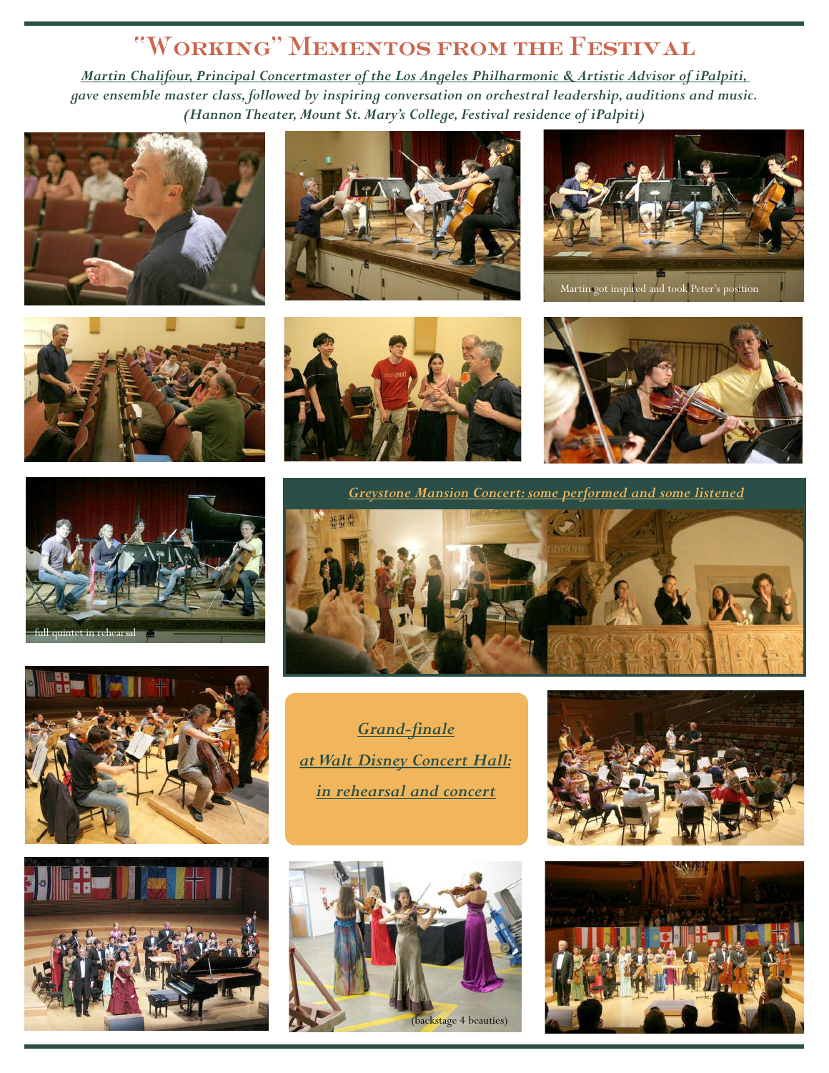# **"Working" Mementos from the Festival**

*Martin Chalifour, Principal Concertmaster of the Los Angeles Philharmonic & Artistic Advisor of iPalpiti, gave ensemble master class,followed by inspiring conversation on orchestral leadership, auditions and music. (HannonTheater,Mount St.Mary's College, Festival residence of iPalpiti)*

















Martin got inspired and took Peter's position



*Greystone Mansion Concert:some performed and some listened*



*Grand-finale atWalt Disney Concert Hall: in rehearsal and concert*